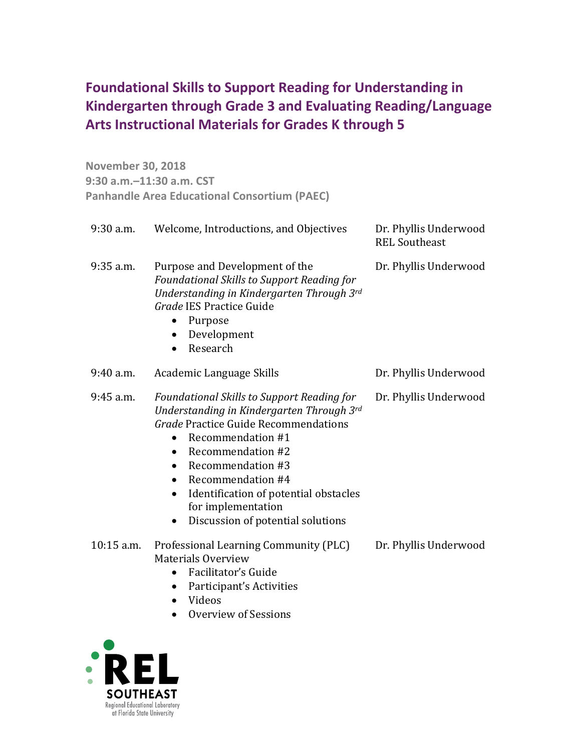## **Foundational Skills to Support Reading for Understanding in Arts Instructional Materials for Grades K through 5 Kindergarten through Grade 3 and Evaluating Reading/Language**

 **November 30, 2018 9:30 a.m.–11:30 a.m. CST Panhandle Area Educational Consortium (PAEC)** 

| $9:30$ a.m. | Welcome, Introductions, and Objectives                                                                                                                                                                                                                                                                                                                                     | Dr. Phyllis Underwood<br><b>REL Southeast</b> |
|-------------|----------------------------------------------------------------------------------------------------------------------------------------------------------------------------------------------------------------------------------------------------------------------------------------------------------------------------------------------------------------------------|-----------------------------------------------|
| $9:35$ a.m. | Purpose and Development of the<br>Foundational Skills to Support Reading for<br>Understanding in Kindergarten Through 3rd<br>Grade IES Practice Guide<br>Purpose<br>$\bullet$<br>Development<br>٠<br>Research<br>$\bullet$                                                                                                                                                 | Dr. Phyllis Underwood                         |
| $9:40$ a.m. | Academic Language Skills                                                                                                                                                                                                                                                                                                                                                   | Dr. Phyllis Underwood                         |
| 9:45 a.m.   | <b>Foundational Skills to Support Reading for</b><br>Understanding in Kindergarten Through 3rd<br>Grade Practice Guide Recommendations<br>Recommendation #1<br>$\bullet$<br>Recommendation #2<br>Recommendation #3<br>$\bullet$<br>Recommendation #4<br>$\bullet$<br>Identification of potential obstacles<br>for implementation<br>Discussion of potential solutions<br>٠ | Dr. Phyllis Underwood                         |
| 10:15 a.m.  | Professional Learning Community (PLC)<br><b>Materials Overview</b><br>Facilitator's Guide<br>$\bullet$<br>Participant's Activities<br>$\bullet$<br>Videos<br>Overview of Sessions                                                                                                                                                                                          | Dr. Phyllis Underwood                         |